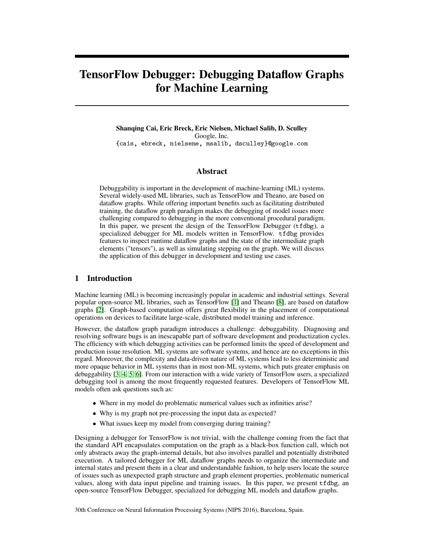# TensorFlow Debugger: Debugging Dataflow Graphs for Machine Learning

Shanqing Cai, Eric Breck, Eric Nielsen, Michael Salib, D. Sculley Google, Inc. {cais, ebreck, nielsene, msalib, dsculley}@google.com

#### Abstract

Debuggability is important in the development of machine-learning (ML) systems. Several widely-used ML libraries, such as TensorFlow and Theano, are based on dataflow graphs. While offering important benefits such as facilitating distributed training, the dataflow graph paradigm makes the debugging of model issues more challenging compared to debugging in the more conventional procedural paradigm. In this paper, we present the design of the TensorFlow Debugger (tfdbg), a specialized debugger for ML models written in TensorFlow. tfdbg provides features to inspect runtime dataflow graphs and the state of the intermediate graph elements ("tensors"), as well as simulating stepping on the graph. We will discuss the application of this debugger in development and testing use cases.

### 1 Introduction

Machine learning (ML) is becoming increasingly popular in academic and industrial settings. Several popular open-source ML libraries, such as TensorFlow [\[1\]](#page-4-0) and Theano [\[8\]](#page-4-1), are based on dataflow graphs [\[2\]](#page-4-2). Graph-based computation offers great flexibility in the placement of computational operations on devices to facilitate large-scale, distributed model training and inference.

However, the dataflow graph paradigm introduces a challenge: debuggability. Diagnosing and resolving software bugs is an inescapable part of software development and productization cycles. The efficiency with which debugging activities can be performed limits the speed of development and production issue resolution. ML systems are software systems, and hence are no exceptions in this regard. Moreover, the complexity and data-driven nature of ML systems lead to less deterministic and more opaque behavior in ML systems than in most non-ML systems, which puts greater emphasis on debuggability [\[3,](#page-4-3) [4,](#page-4-4) [5,](#page-4-5) [6\]](#page-4-6). From our interaction with a wide variety of TensorFlow users, a specialized debugging tool is among the most frequently requested features. Developers of TensorFlow ML models often ask questions such as:

- Where in my model do problematic numerical values such as infinities arise?
- Why is my graph not pre-processing the input data as expected?
- What issues keep my model from converging during training?

Designing a debugger for TensorFlow is not trivial, with the challenge coming from the fact that the standard API encapsulates computation on the graph as a black-box function call, which not only abstracts away the graph-internal details, but also involves parallel and potentially distributed execution. A tailored debugger for ML dataflow graphs needs to organize the intermediate and internal states and present them in a clear and understandable fashion, to help users locate the source of issues such as unexpected graph structure and graph element properties, problematic numerical values, along with data input pipeline and training issues. In this paper, we present tfdbg, an open-source TensorFlow Debugger, specialized for debugging ML models and dataflow graphs.

30th Conference on Neural Information Processing Systems (NIPS 2016), Barcelona, Spain.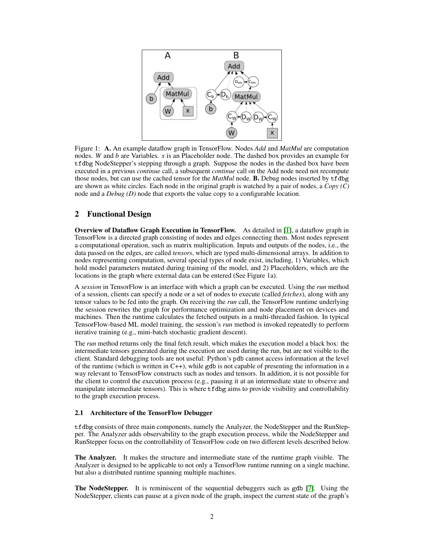

Figure 1: A. An example dataflow graph in TensorFlow. Nodes *Add* and *MatMul* are computation nodes. *W* and *b* are Variables. *x* is an Placeholder node. The dashed box provides an example for tfdbg NodeStepper's stepping through a graph. Suppose the nodes in the dashed box have been executed in a previous *continue* call, a subsequent *continue* call on the Add node need not recompute those nodes, but can use the cached tensor for the *MatMul* node. B. Debug nodes inserted by tfdbg are shown as white circles. Each node in the original graph is watched by a pair of nodes, a *Copy (C)* node and a *Debug (D)* node that exports the value copy to a configurable location.

#### 2 Functional Design

Overview of Dataflow Graph Execution in TensorFlow. As detailed in [\[1\]](#page-4-0), a dataflow graph in TensorFlow is a directed graph consisting of nodes and edges connecting them. Most nodes represent a computational operation, such as matrix multiplication. Inputs and outputs of the nodes, i.e., the data passed on the edges, are called *tensors*, which are typed multi-dimensional arrays. In addition to nodes representing computation, several special types of node exist, including, 1) Variables, which hold model parameters mutated during training of the model, and 2) Placeholders, which are the locations in the graph where external data can be entered (See Figure 1a).

A *session* in TensorFlow is an interface with which a graph can be executed. Using the *run* method of a session, clients can specify a node or a set of nodes to execute (called *fetches*), along with any tensor values to be fed into the graph. On receiving the *run* call, the TensorFlow runtime underlying the session rewrites the graph for performance optimization and node placement on devices and machines. Then the runtime calculates the fetched outputs in a multi-threaded fashion. In typical TensorFlow-based ML model training, the session's *run* method is invoked repeatedly to perform iterative training (e.g., mini-batch stochastic gradient descent).

The *run* method returns only the final fetch result, which makes the execution model a black box: the intermediate tensors generated during the execution are used during the run, but are not visible to the client. Standard debugging tools are not useful: Python's pdb cannot access information at the level of the runtime (which is written in  $C_{++}$ ), while gdb is not capable of presenting the information in a way relevant to TensorFlow constructs such as nodes and tensors. In addition, it is not possible for the client to control the execution process (e.g., pausing it at an intermediate state to observe and manipulate intermediate tensors). This is where tfdbg aims to provide visibility and controllability to the graph execution process.

#### 2.1 Architecture of the TensorFlow Debugger

tfdbg consists of three main components, namely the Analyzer, the NodeStepper and the RunStepper. The Analyzer adds observability to the graph execution process, while the NodeStepper and RunStepper focus on the controllability of TensorFlow code on two different levels described below.

The Analyzer. It makes the structure and intermediate state of the runtime graph visible. The Analyzer is designed to be applicable to not only a TensorFlow runtime running on a single machine, but also a distributed runtime spanning multiple machines.

The NodeStepper. It is reminiscent of the sequential debuggers such as gdb [\[7\]](#page-4-7). Using the NodeStepper, clients can pause at a given node of the graph, inspect the current state of the graph's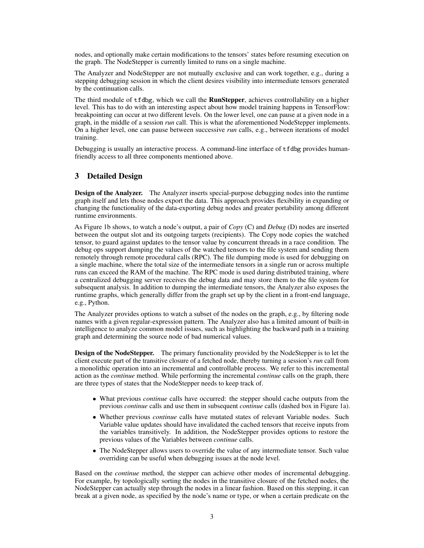nodes, and optionally make certain modifications to the tensors' states before resuming execution on the graph. The NodeStepper is currently limited to runs on a single machine.

The Analyzer and NodeStepper are not mutually exclusive and can work together, e.g., during a stepping debugging session in which the client desires visibility into intermediate tensors generated by the continuation calls.

The third module of tfdbg, which we call the RunStepper, achieves controllability on a higher level. This has to do with an interesting aspect about how model training happens in TensorFlow: breakpointing can occur at two different levels. On the lower level, one can pause at a given node in a graph, in the middle of a session *run* call. This is what the aforementioned NodeStepper implements. On a higher level, one can pause between successive *run* calls, e.g., between iterations of model training.

Debugging is usually an interactive process. A command-line interface of tfdbg provides humanfriendly access to all three components mentioned above.

#### 3 Detailed Design

Design of the Analyzer. The Analyzer inserts special-purpose debugging nodes into the runtime graph itself and lets those nodes export the data. This approach provides flexibility in expanding or changing the functionality of the data-exporting debug nodes and greater portability among different runtime environments.

As Figure 1b shows, to watch a node's output, a pair of *Copy* (C) and *Debug* (D) nodes are inserted between the output slot and its outgoing targets (recipients). The Copy node copies the watched tensor, to guard against updates to the tensor value by concurrent threads in a race condition. The debug ops support dumping the values of the watched tensors to the file system and sending them remotely through remote procedural calls (RPC). The file dumping mode is used for debugging on a single machine, where the total size of the intermediate tensors in a single run or across multiple runs can exceed the RAM of the machine. The RPC mode is used during distributed training, where a centralized debugging server receives the debug data and may store them to the file system for subsequent analysis. In addition to dumping the intermediate tensors, the Analyzer also exposes the runtime graphs, which generally differ from the graph set up by the client in a front-end language, e.g., Python.

The Analyzer provides options to watch a subset of the nodes on the graph, e.g., by filtering node names with a given regular-expression pattern. The Analyzer also has a limited amount of built-in intelligence to analyze common model issues, such as highlighting the backward path in a training graph and determining the source node of bad numerical values.

Design of the NodeStepper. The primary functionality provided by the NodeStepper is to let the client execute part of the transitive closure of a fetched node, thereby turning a session's *run* call from a monolithic operation into an incremental and controllable process. We refer to this incremental action as the *continue* method. While performing the incremental *continue* calls on the graph, there are three types of states that the NodeStepper needs to keep track of.

- What previous *continue* calls have occurred: the stepper should cache outputs from the previous *continue* calls and use them in subsequent *continue* calls (dashed box in Figure 1a).
- Whether previous *continue* calls have mutated states of relevant Variable nodes. Such Variable value updates should have invalidated the cached tensors that receive inputs from the variables transitively. In addition, the NodeStepper provides options to restore the previous values of the Variables between *continue* calls.
- The NodeStepper allows users to override the value of any intermediate tensor. Such value overriding can be useful when debugging issues at the node level.

Based on the *continue* method, the stepper can achieve other modes of incremental debugging. For example, by topologically sorting the nodes in the transitive closure of the fetched nodes, the NodeStepper can actually step through the nodes in a linear fashion. Based on this stepping, it can break at a given node, as specified by the node's name or type, or when a certain predicate on the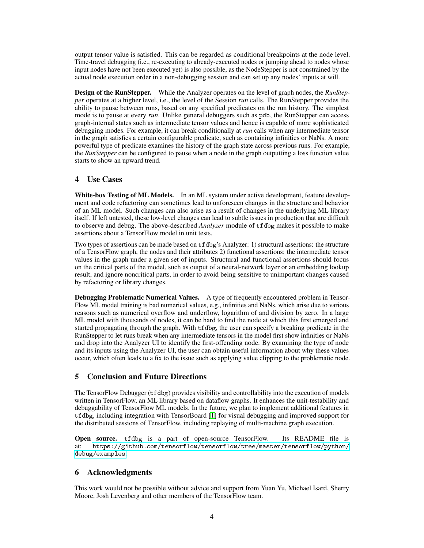output tensor value is satisfied. This can be regarded as conditional breakpoints at the node level. Time-travel debugging (i.e., re-executing to already-executed nodes or jumping ahead to nodes whose input nodes have not been executed yet) is also possible, as the NodeStepper is not constrained by the actual node execution order in a non-debugging session and can set up any nodes' inputs at will.

Design of the RunStepper. While the Analyzer operates on the level of graph nodes, the *RunStepper* operates at a higher level, i.e., the level of the Session *run* calls. The RunStepper provides the ability to pause between runs, based on any specified predicates on the run history. The simplest mode is to pause at every *run*. Unlike general debuggers such as pdb, the RunStepper can access graph-internal states such as intermediate tensor values and hence is capable of more sophisticated debugging modes. For example, it can break conditionally at *run* calls when any intermediate tensor in the graph satisfies a certain configurable predicate, such as containing infinities or NaNs. A more powerful type of predicate examines the history of the graph state across previous runs. For example, the *RunStepper* can be configured to pause when a node in the graph outputting a loss function value starts to show an upward trend.

## 4 Use Cases

White-box Testing of ML Models. In an ML system under active development, feature development and code refactoring can sometimes lead to unforeseen changes in the structure and behavior of an ML model. Such changes can also arise as a result of changes in the underlying ML library itself. If left untested, these low-level changes can lead to subtle issues in production that are difficult to observe and debug. The above-described *Analyzer* module of tfdbg makes it possible to make assertions about a TensorFlow model in unit tests.

Two types of assertions can be made based on tfdbg's Analyzer: 1) structural assertions: the structure of a TensorFlow graph, the nodes and their attributes 2) functional assertions: the intermediate tensor values in the graph under a given set of inputs. Structural and functional assertions should focus on the critical parts of the model, such as output of a neural-network layer or an embedding lookup result, and ignore noncritical parts, in order to avoid being sensitive to unimportant changes caused by refactoring or library changes.

Debugging Problematic Numerical Values. A type of frequently encountered problem in Tensor-Flow ML model training is bad numerical values, e.g., infinities and NaNs, which arise due to various reasons such as numerical overflow and underflow, logarithm of and division by zero. In a large ML model with thousands of nodes, it can be hard to find the node at which this first emerged and started propagating through the graph. With tfdbg, the user can specify a breaking predicate in the RunStepper to let runs break when any intermediate tensors in the model first show infinities or NaNs and drop into the Analyzer UI to identify the first-offending node. By examining the type of node and its inputs using the Analyzer UI, the user can obtain useful information about why these values occur, which often leads to a fix to the issue such as applying value clipping to the problematic node.

# 5 Conclusion and Future Directions

The TensorFlow Debugger (tfdbg) provides visibility and controllability into the execution of models written in TensorFlow, an ML library based on dataflow graphs. It enhances the unit-testability and debuggability of TensorFlow ML models. In the future, we plan to implement additional features in tfdbg, including integration with TensorBoard [\[1\]](#page-4-0) for visual debugging and improved support for the distributed sessions of TensorFlow, including replaying of multi-machine graph execution.

Open source. tfdbg is a part of open-source TensorFlow. Its README file is at: [https://github.com/tensorflow/tensorflow/tree/master/tensorflow/python/](https://github.com/tensorflow/tensorflow/tree/master/tensorflow/python/debug/examples) [debug/examples](https://github.com/tensorflow/tensorflow/tree/master/tensorflow/python/debug/examples).

# 6 Acknowledgments

This work would not be possible without advice and support from Yuan Yu, Michael Isard, Sherry Moore, Josh Levenberg and other members of the TensorFlow team.